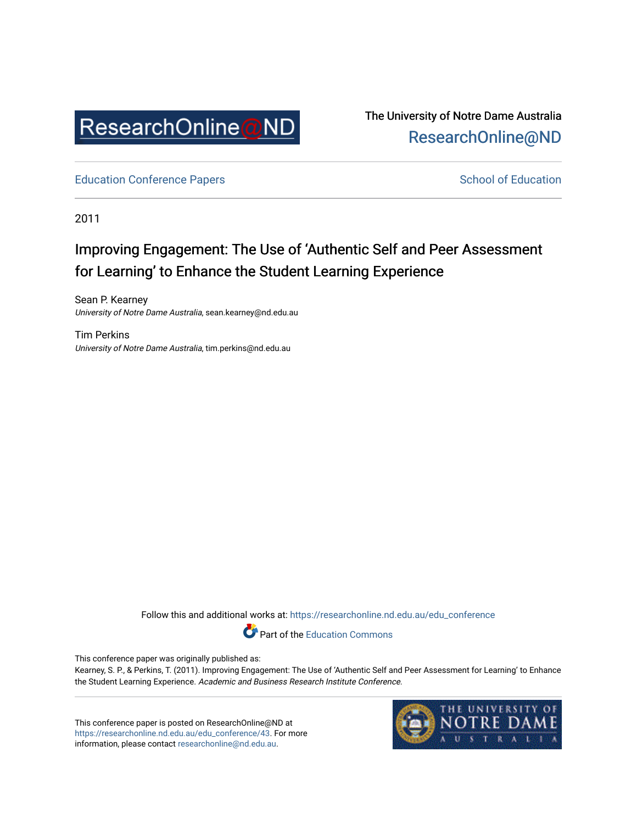

The University of Notre Dame Australia [ResearchOnline@ND](https://researchonline.nd.edu.au/) 

[Education Conference Papers](https://researchonline.nd.edu.au/edu_conference) **School of Education** School of Education

2011

# Improving Engagement: The Use of 'Authentic Self and Peer Assessment for Learning' to Enhance the Student Learning Experience

Sean P. Kearney University of Notre Dame Australia, sean.kearney@nd.edu.au

Tim Perkins University of Notre Dame Australia, tim.perkins@nd.edu.au

Follow this and additional works at: [https://researchonline.nd.edu.au/edu\\_conference](https://researchonline.nd.edu.au/edu_conference?utm_source=researchonline.nd.edu.au%2Fedu_conference%2F43&utm_medium=PDF&utm_campaign=PDFCoverPages)

Part of the [Education Commons](http://network.bepress.com/hgg/discipline/784?utm_source=researchonline.nd.edu.au%2Fedu_conference%2F43&utm_medium=PDF&utm_campaign=PDFCoverPages) 

This conference paper was originally published as:

Kearney, S. P., & Perkins, T. (2011). Improving Engagement: The Use of 'Authentic Self and Peer Assessment for Learning' to Enhance the Student Learning Experience. Academic and Business Research Institute Conference.

This conference paper is posted on ResearchOnline@ND at [https://researchonline.nd.edu.au/edu\\_conference/43.](https://researchonline.nd.edu.au/edu_conference/43) For more information, please contact [researchonline@nd.edu.au.](mailto:researchonline@nd.edu.au)

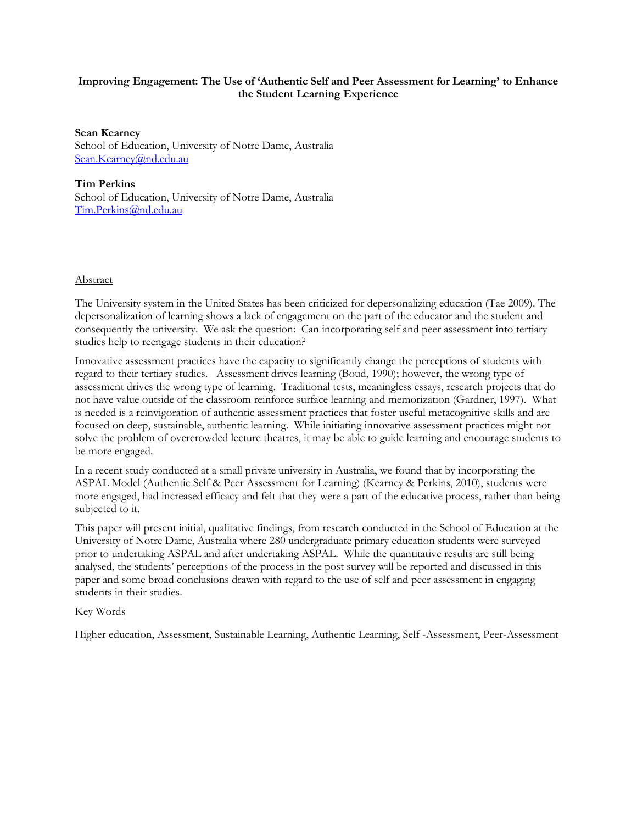### Improving Engagement: The Use of 'Authentic Self and Peer Assessment for Learning' to Enhance the Student Learning Experience

Sean Kearney School of Education, University of Notre Dame, Australia Sean.Kearney@nd.edu.au

Tim Perkins School of Education, University of Notre Dame, Australia Tim.Perkins@nd.edu.au

#### Abstract

The University system in the United States has been criticized for depersonalizing education (Tae 2009). The depersonalization of learning shows a lack of engagement on the part of the educator and the student and consequently the university. We ask the question: Can incorporating self and peer assessment into tertiary studies help to reengage students in their education?

Innovative assessment practices have the capacity to significantly change the perceptions of students with regard to their tertiary studies. Assessment drives learning (Boud, 1990); however, the wrong type of assessment drives the wrong type of learning. Traditional tests, meaningless essays, research projects that do not have value outside of the classroom reinforce surface learning and memorization (Gardner, 1997). What is needed is a reinvigoration of authentic assessment practices that foster useful metacognitive skills and are focused on deep, sustainable, authentic learning. While initiating innovative assessment practices might not solve the problem of overcrowded lecture theatres, it may be able to guide learning and encourage students to be more engaged.

In a recent study conducted at a small private university in Australia, we found that by incorporating the ASPAL Model (Authentic Self & Peer Assessment for Learning) (Kearney & Perkins, 2010), students were more engaged, had increased efficacy and felt that they were a part of the educative process, rather than being subjected to it.

This paper will present initial, qualitative findings, from research conducted in the School of Education at the University of Notre Dame, Australia where 280 undergraduate primary education students were surveyed prior to undertaking ASPAL and after undertaking ASPAL. While the quantitative results are still being analysed, the students' perceptions of the process in the post survey will be reported and discussed in this paper and some broad conclusions drawn with regard to the use of self and peer assessment in engaging students in their studies.

#### Key Words

Higher education, Assessment, Sustainable Learning, Authentic Learning, Self -Assessment, Peer-Assessment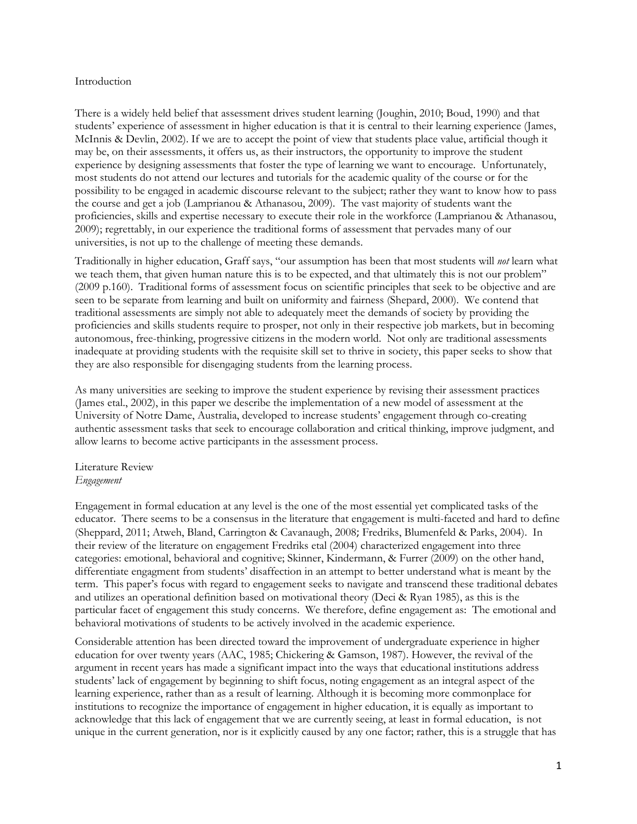#### Introduction

There is a widely held belief that assessment drives student learning (Joughin, 2010; Boud, 1990) and that students' experience of assessment in higher education is that it is central to their learning experience (James, McInnis & Devlin, 2002). If we are to accept the point of view that students place value, artificial though it may be, on their assessments, it offers us, as their instructors, the opportunity to improve the student experience by designing assessments that foster the type of learning we want to encourage. Unfortunately, most students do not attend our lectures and tutorials for the academic quality of the course or for the possibility to be engaged in academic discourse relevant to the subject; rather they want to know how to pass the course and get a job (Lamprianou & Athanasou, 2009). The vast majority of students want the proficiencies, skills and expertise necessary to execute their role in the workforce (Lamprianou & Athanasou, 2009); regrettably, in our experience the traditional forms of assessment that pervades many of our universities, is not up to the challenge of meeting these demands.

Traditionally in higher education, Graff says, "our assumption has been that most students will not learn what we teach them, that given human nature this is to be expected, and that ultimately this is not our problem" (2009 p.160). Traditional forms of assessment focus on scientific principles that seek to be objective and are seen to be separate from learning and built on uniformity and fairness (Shepard, 2000). We contend that traditional assessments are simply not able to adequately meet the demands of society by providing the proficiencies and skills students require to prosper, not only in their respective job markets, but in becoming autonomous, free-thinking, progressive citizens in the modern world. Not only are traditional assessments inadequate at providing students with the requisite skill set to thrive in society, this paper seeks to show that they are also responsible for disengaging students from the learning process.

As many universities are seeking to improve the student experience by revising their assessment practices (James etal., 2002), in this paper we describe the implementation of a new model of assessment at the University of Notre Dame, Australia, developed to increase students' engagement through co-creating authentic assessment tasks that seek to encourage collaboration and critical thinking, improve judgment, and allow learns to become active participants in the assessment process.

# Literature Review Engagement

Engagement in formal education at any level is the one of the most essential yet complicated tasks of the educator. There seems to be a consensus in the literature that engagement is multi-faceted and hard to define (Sheppard, 2011; Atweh, Bland, Carrington & Cavanaugh, 2008; Fredriks, Blumenfeld & Parks, 2004). In their review of the literature on engagement Fredriks etal (2004) characterized engagement into three categories: emotional, behavioral and cognitive; Skinner, Kindermann, & Furrer (2009) on the other hand, differentiate engagment from students' disaffection in an attempt to better understand what is meant by the term. This paper's focus with regard to engagement seeks to navigate and transcend these traditional debates and utilizes an operational definition based on motivational theory (Deci & Ryan 1985), as this is the particular facet of engagement this study concerns. We therefore, define engagement as: The emotional and behavioral motivations of students to be actively involved in the academic experience.

Considerable attention has been directed toward the improvement of undergraduate experience in higher education for over twenty years (AAC, 1985; Chickering & Gamson, 1987). However, the revival of the argument in recent years has made a significant impact into the ways that educational institutions address students' lack of engagement by beginning to shift focus, noting engagement as an integral aspect of the learning experience, rather than as a result of learning. Although it is becoming more commonplace for institutions to recognize the importance of engagement in higher education, it is equally as important to acknowledge that this lack of engagement that we are currently seeing, at least in formal education, is not unique in the current generation, nor is it explicitly caused by any one factor; rather, this is a struggle that has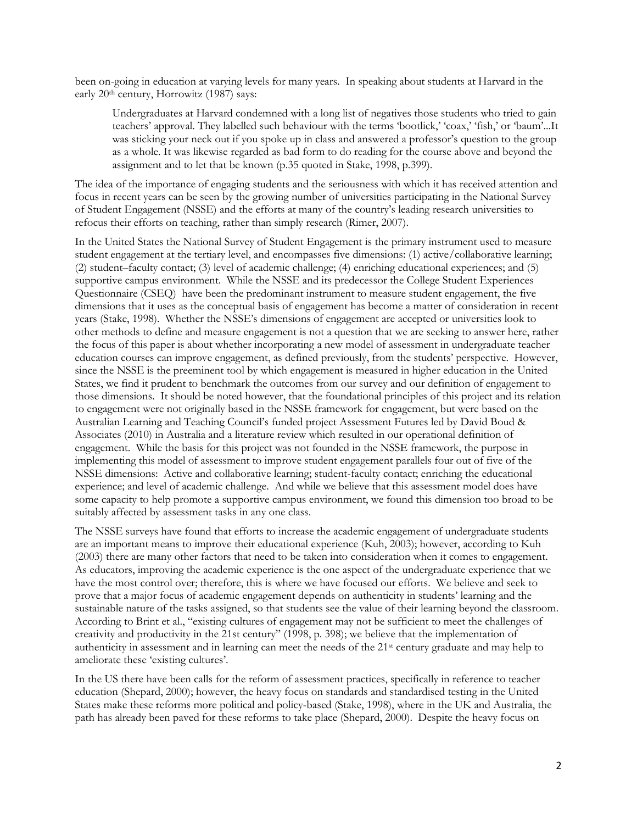been on-going in education at varying levels for many years. In speaking about students at Harvard in the early 20<sup>th</sup> century, Horrowitz (1987) says:

Undergraduates at Harvard condemned with a long list of negatives those students who tried to gain teachers' approval. They labelled such behaviour with the terms 'bootlick,' 'coax,' 'fish,' or 'baum'...It was sticking your neck out if you spoke up in class and answered a professor's question to the group as a whole. It was likewise regarded as bad form to do reading for the course above and beyond the assignment and to let that be known (p.35 quoted in Stake, 1998, p.399).

The idea of the importance of engaging students and the seriousness with which it has received attention and focus in recent years can be seen by the growing number of universities participating in the National Survey of Student Engagement (NSSE) and the efforts at many of the country's leading research universities to refocus their efforts on teaching, rather than simply research (Rimer, 2007).

In the United States the National Survey of Student Engagement is the primary instrument used to measure student engagement at the tertiary level, and encompasses five dimensions: (1) active/collaborative learning; (2) student–faculty contact; (3) level of academic challenge; (4) enriching educational experiences; and (5) supportive campus environment. While the NSSE and its predecessor the College Student Experiences Questionnaire (CSEQ) have been the predominant instrument to measure student engagement, the five dimensions that it uses as the conceptual basis of engagement has become a matter of consideration in recent years (Stake, 1998). Whether the NSSE's dimensions of engagement are accepted or universities look to other methods to define and measure engagement is not a question that we are seeking to answer here, rather the focus of this paper is about whether incorporating a new model of assessment in undergraduate teacher education courses can improve engagement, as defined previously, from the students' perspective. However, since the NSSE is the preeminent tool by which engagement is measured in higher education in the United States, we find it prudent to benchmark the outcomes from our survey and our definition of engagement to those dimensions. It should be noted however, that the foundational principles of this project and its relation to engagement were not originally based in the NSSE framework for engagement, but were based on the Australian Learning and Teaching Council's funded project Assessment Futures led by David Boud & Associates (2010) in Australia and a literature review which resulted in our operational definition of engagement. While the basis for this project was not founded in the NSSE framework, the purpose in implementing this model of assessment to improve student engagement parallels four out of five of the NSSE dimensions: Active and collaborative learning; student-faculty contact; enriching the educational experience; and level of academic challenge. And while we believe that this assessment model does have some capacity to help promote a supportive campus environment, we found this dimension too broad to be suitably affected by assessment tasks in any one class.

The NSSE surveys have found that efforts to increase the academic engagement of undergraduate students are an important means to improve their educational experience (Kuh, 2003); however, according to Kuh (2003) there are many other factors that need to be taken into consideration when it comes to engagement. As educators, improving the academic experience is the one aspect of the undergraduate experience that we have the most control over; therefore, this is where we have focused our efforts. We believe and seek to prove that a major focus of academic engagement depends on authenticity in students' learning and the sustainable nature of the tasks assigned, so that students see the value of their learning beyond the classroom. According to Brint et al., "existing cultures of engagement may not be sufficient to meet the challenges of creativity and productivity in the 21st century" (1998, p. 398); we believe that the implementation of authenticity in assessment and in learning can meet the needs of the 21st century graduate and may help to ameliorate these 'existing cultures'.

In the US there have been calls for the reform of assessment practices, specifically in reference to teacher education (Shepard, 2000); however, the heavy focus on standards and standardised testing in the United States make these reforms more political and policy-based (Stake, 1998), where in the UK and Australia, the path has already been paved for these reforms to take place (Shepard, 2000). Despite the heavy focus on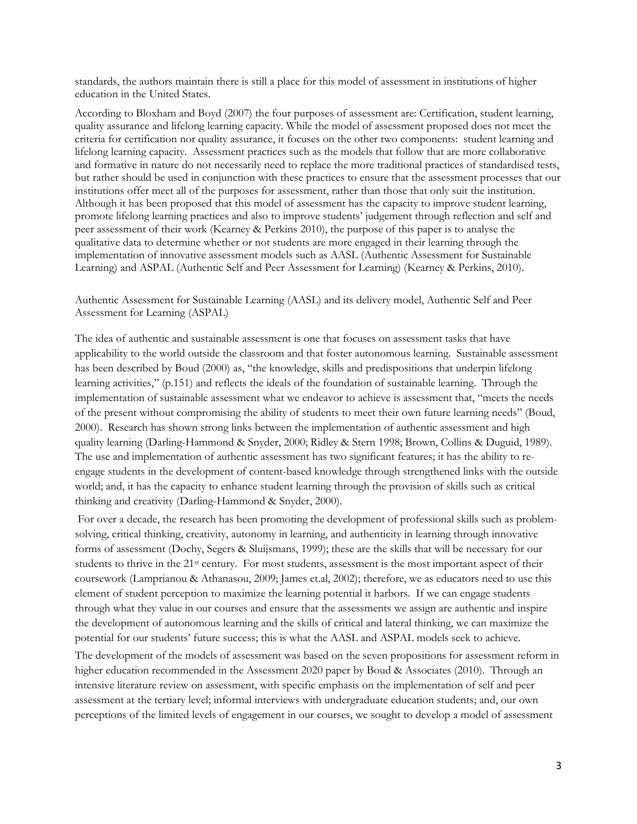standards, the authors maintain there is still a place for this model of assessment in institutions of higher education in the United States.

According to Bloxham and Boyd (2007) the four purposes of assessment are: Certification, student learning, quality assurance and lifelong learning capacity. While the model of assessment proposed does not meet the criteria for certification nor quality assurance, it focuses on the other two components: student learning and lifelong learning capacity. Assessment practices such as the models that follow that are more collaborative and formative in nature do not necessarily need to replace the more traditional practices of standardised tests, but rather should be used in conjunction with these practices to ensure that the assessment processes that our institutions offer meet all of the purposes for assessment, rather than those that only suit the institution. Although it has been proposed that this model of assessment has the capacity to improve student learning, promote lifelong learning practices and also to improve students' judgement through reflection and self and peer assessment of their work (Kearney & Perkins 2010), the purpose of this paper is to analyse the qualitative data to determine whether or not students are more engaged in their learning through the implementation of innovative assessment models such as AASL (Authentic Assessment for Sustainable Learning) and ASPAL (Authentic Self and Peer Assessment for Learning) (Kearney & Perkins, 2010).

Authentic Assessment for Sustainable Learning (AASL) and its delivery model, Authentic Self and Peer Assessment for Learning (ASPAL)

The idea of authentic and sustainable assessment is one that focuses on assessment tasks that have applicability to the world outside the classroom and that foster autonomous learning. Sustainable assessment has been described by Boud (2000) as, "the knowledge, skills and predispositions that underpin lifelong learning activities," (p.151) and reflects the ideals of the foundation of sustainable learning. Through the implementation of sustainable assessment what we endeavor to achieve is assessment that, "meets the needs of the present without compromising the ability of students to meet their own future learning needs" (Boud, 2000). Research has shown strong links between the implementation of authentic assessment and high quality learning (Darling-Hammond & Snyder, 2000; Ridley & Stern 1998; Brown, Collins & Duguid, 1989). The use and implementation of authentic assessment has two significant features; it has the ability to reengage students in the development of content-based knowledge through strengthened links with the outside world; and, it has the capacity to enhance student learning through the provision of skills such as critical thinking and creativity (Darling-Hammond & Snyder, 2000).

 For over a decade, the research has been promoting the development of professional skills such as problemsolving, critical thinking, creativity, autonomy in learning, and authenticity in learning through innovative forms of assessment (Dochy, Segers & Sluijsmans, 1999); these are the skills that will be necessary for our students to thrive in the 21<sup>st</sup> century. For most students, assessment is the most important aspect of their coursework (Lamprianou & Athanasou, 2009; James et.al, 2002); therefore, we as educators need to use this element of student perception to maximize the learning potential it harbors. If we can engage students through what they value in our courses and ensure that the assessments we assign are authentic and inspire the development of autonomous learning and the skills of critical and lateral thinking, we can maximize the potential for our students' future success; this is what the AASL and ASPAL models seek to achieve.

The development of the models of assessment was based on the seven propositions for assessment reform in higher education recommended in the Assessment 2020 paper by Boud & Associates (2010). Through an intensive literature review on assessment, with specific emphasis on the implementation of self and peer assessment at the tertiary level; informal interviews with undergraduate education students; and, our own perceptions of the limited levels of engagement in our courses, we sought to develop a model of assessment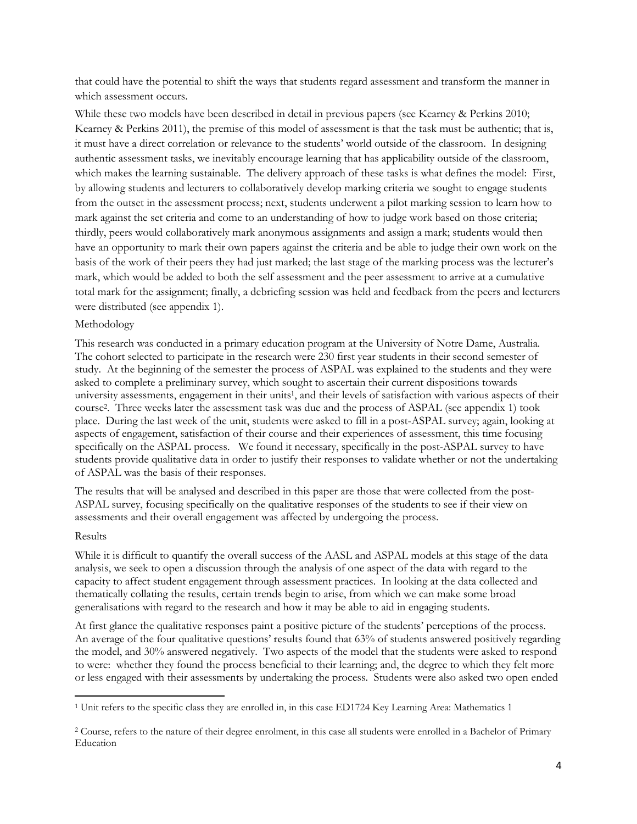that could have the potential to shift the ways that students regard assessment and transform the manner in which assessment occurs.

While these two models have been described in detail in previous papers (see Kearney & Perkins 2010; Kearney & Perkins 2011), the premise of this model of assessment is that the task must be authentic; that is, it must have a direct correlation or relevance to the students' world outside of the classroom. In designing authentic assessment tasks, we inevitably encourage learning that has applicability outside of the classroom, which makes the learning sustainable. The delivery approach of these tasks is what defines the model: First, by allowing students and lecturers to collaboratively develop marking criteria we sought to engage students from the outset in the assessment process; next, students underwent a pilot marking session to learn how to mark against the set criteria and come to an understanding of how to judge work based on those criteria; thirdly, peers would collaboratively mark anonymous assignments and assign a mark; students would then have an opportunity to mark their own papers against the criteria and be able to judge their own work on the basis of the work of their peers they had just marked; the last stage of the marking process was the lecturer's mark, which would be added to both the self assessment and the peer assessment to arrive at a cumulative total mark for the assignment; finally, a debriefing session was held and feedback from the peers and lecturers were distributed (see appendix 1).

# Methodology

This research was conducted in a primary education program at the University of Notre Dame, Australia. The cohort selected to participate in the research were 230 first year students in their second semester of study. At the beginning of the semester the process of ASPAL was explained to the students and they were asked to complete a preliminary survey, which sought to ascertain their current dispositions towards university assessments, engagement in their units<sup>1</sup>, and their levels of satisfaction with various aspects of their course<sup>2</sup> . Three weeks later the assessment task was due and the process of ASPAL (see appendix 1) took place. During the last week of the unit, students were asked to fill in a post-ASPAL survey; again, looking at aspects of engagement, satisfaction of their course and their experiences of assessment, this time focusing specifically on the ASPAL process. We found it necessary, specifically in the post-ASPAL survey to have students provide qualitative data in order to justify their responses to validate whether or not the undertaking of ASPAL was the basis of their responses.

The results that will be analysed and described in this paper are those that were collected from the post-ASPAL survey, focusing specifically on the qualitative responses of the students to see if their view on assessments and their overall engagement was affected by undergoing the process.

#### Results

-

While it is difficult to quantify the overall success of the AASL and ASPAL models at this stage of the data analysis, we seek to open a discussion through the analysis of one aspect of the data with regard to the capacity to affect student engagement through assessment practices. In looking at the data collected and thematically collating the results, certain trends begin to arise, from which we can make some broad generalisations with regard to the research and how it may be able to aid in engaging students.

At first glance the qualitative responses paint a positive picture of the students' perceptions of the process. An average of the four qualitative questions' results found that 63% of students answered positively regarding the model, and 30% answered negatively. Two aspects of the model that the students were asked to respond to were: whether they found the process beneficial to their learning; and, the degree to which they felt more or less engaged with their assessments by undertaking the process. Students were also asked two open ended

<sup>1</sup> Unit refers to the specific class they are enrolled in, in this case ED1724 Key Learning Area: Mathematics 1

<sup>&</sup>lt;sup>2</sup> Course, refers to the nature of their degree enrolment, in this case all students were enrolled in a Bachelor of Primary Education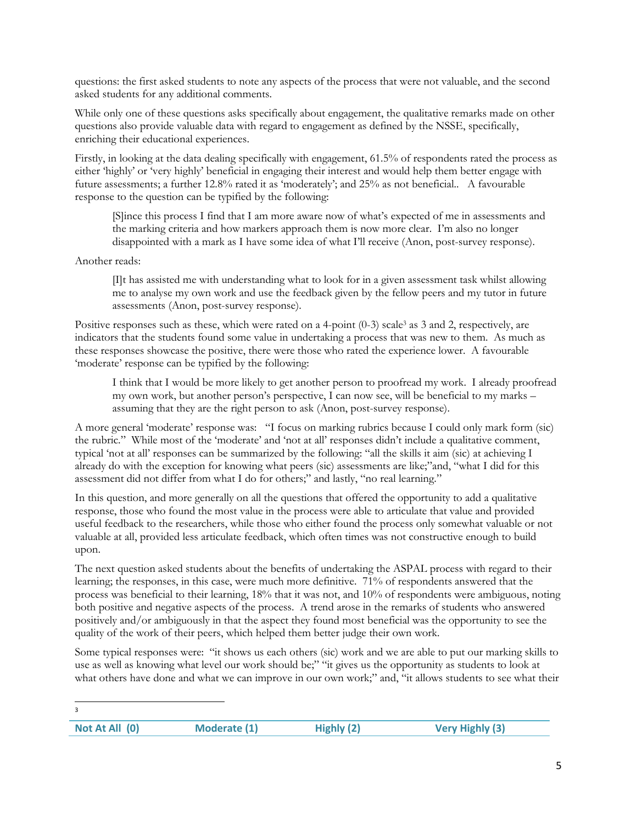questions: the first asked students to note any aspects of the process that were not valuable, and the second asked students for any additional comments.

While only one of these questions asks specifically about engagement, the qualitative remarks made on other questions also provide valuable data with regard to engagement as defined by the NSSE, specifically, enriching their educational experiences.

Firstly, in looking at the data dealing specifically with engagement, 61.5% of respondents rated the process as either 'highly' or 'very highly' beneficial in engaging their interest and would help them better engage with future assessments; a further 12.8% rated it as 'moderately'; and 25% as not beneficial.. A favourable response to the question can be typified by the following:

[S]ince this process I find that I am more aware now of what's expected of me in assessments and the marking criteria and how markers approach them is now more clear. I'm also no longer disappointed with a mark as I have some idea of what I'll receive (Anon, post-survey response).

# Another reads:

[I]t has assisted me with understanding what to look for in a given assessment task whilst allowing me to analyse my own work and use the feedback given by the fellow peers and my tutor in future assessments (Anon, post-survey response).

Positive responses such as these, which were rated on a 4-point (0-3) scale<sup>3</sup> as 3 and 2, respectively, are indicators that the students found some value in undertaking a process that was new to them. As much as these responses showcase the positive, there were those who rated the experience lower. A favourable 'moderate' response can be typified by the following:

I think that I would be more likely to get another person to proofread my work. I already proofread my own work, but another person's perspective, I can now see, will be beneficial to my marks – assuming that they are the right person to ask (Anon, post-survey response).

A more general 'moderate' response was: "I focus on marking rubrics because I could only mark form (sic) the rubric." While most of the 'moderate' and 'not at all' responses didn't include a qualitative comment, typical 'not at all' responses can be summarized by the following: "all the skills it aim (sic) at achieving I already do with the exception for knowing what peers (sic) assessments are like;"and, "what I did for this assessment did not differ from what I do for others;" and lastly, "no real learning."

In this question, and more generally on all the questions that offered the opportunity to add a qualitative response, those who found the most value in the process were able to articulate that value and provided useful feedback to the researchers, while those who either found the process only somewhat valuable or not valuable at all, provided less articulate feedback, which often times was not constructive enough to build upon.

The next question asked students about the benefits of undertaking the ASPAL process with regard to their learning; the responses, in this case, were much more definitive. 71% of respondents answered that the process was beneficial to their learning, 18% that it was not, and 10% of respondents were ambiguous, noting both positive and negative aspects of the process. A trend arose in the remarks of students who answered positively and/or ambiguously in that the aspect they found most beneficial was the opportunity to see the quality of the work of their peers, which helped them better judge their own work.

Some typical responses were: "it shows us each others (sic) work and we are able to put our marking skills to use as well as knowing what level our work should be;" "it gives us the opportunity as students to look at what others have done and what we can improve in our own work;" and, "it allows students to see what their

| Not At All (0) | Moderate (1) | Highly (2) | <b>Very Highly (3)</b> |
|----------------|--------------|------------|------------------------|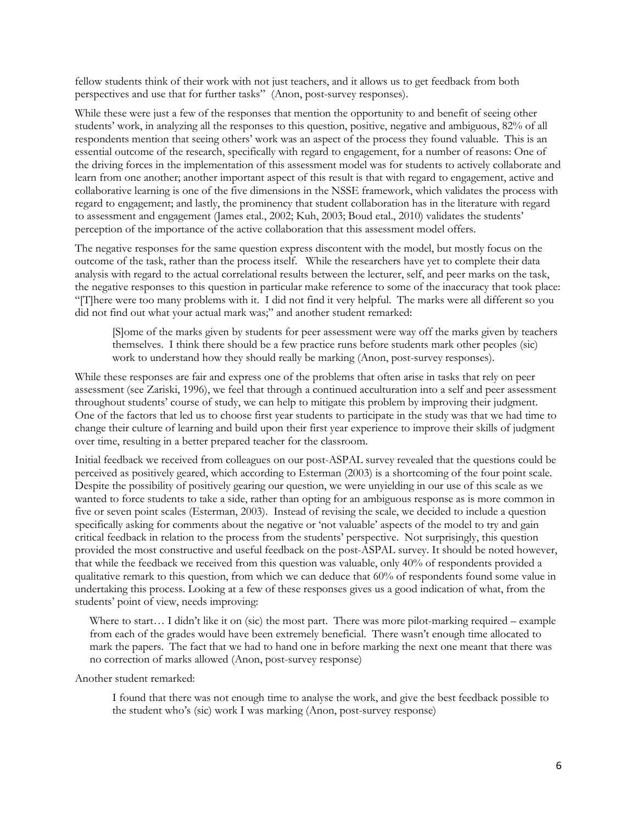fellow students think of their work with not just teachers, and it allows us to get feedback from both perspectives and use that for further tasks" (Anon, post-survey responses).

While these were just a few of the responses that mention the opportunity to and benefit of seeing other students' work, in analyzing all the responses to this question, positive, negative and ambiguous, 82% of all respondents mention that seeing others' work was an aspect of the process they found valuable. This is an essential outcome of the research, specifically with regard to engagement, for a number of reasons: One of the driving forces in the implementation of this assessment model was for students to actively collaborate and learn from one another; another important aspect of this result is that with regard to engagement, active and collaborative learning is one of the five dimensions in the NSSE framework, which validates the process with regard to engagement; and lastly, the prominency that student collaboration has in the literature with regard to assessment and engagement (James etal., 2002; Kuh, 2003; Boud etal., 2010) validates the students' perception of the importance of the active collaboration that this assessment model offers.

The negative responses for the same question express discontent with the model, but mostly focus on the outcome of the task, rather than the process itself. While the researchers have yet to complete their data analysis with regard to the actual correlational results between the lecturer, self, and peer marks on the task, the negative responses to this question in particular make reference to some of the inaccuracy that took place: "[T]here were too many problems with it. I did not find it very helpful. The marks were all different so you did not find out what your actual mark was;" and another student remarked:

[S]ome of the marks given by students for peer assessment were way off the marks given by teachers themselves. I think there should be a few practice runs before students mark other peoples (sic) work to understand how they should really be marking (Anon, post-survey responses).

While these responses are fair and express one of the problems that often arise in tasks that rely on peer assessment (see Zariski, 1996), we feel that through a continued acculturation into a self and peer assessment throughout students' course of study, we can help to mitigate this problem by improving their judgment. One of the factors that led us to choose first year students to participate in the study was that we had time to change their culture of learning and build upon their first year experience to improve their skills of judgment over time, resulting in a better prepared teacher for the classroom.

Initial feedback we received from colleagues on our post-ASPAL survey revealed that the questions could be perceived as positively geared, which according to Esterman (2003) is a shortcoming of the four point scale. Despite the possibility of positively gearing our question, we were unyielding in our use of this scale as we wanted to force students to take a side, rather than opting for an ambiguous response as is more common in five or seven point scales (Esterman, 2003). Instead of revising the scale, we decided to include a question specifically asking for comments about the negative or 'not valuable' aspects of the model to try and gain critical feedback in relation to the process from the students' perspective. Not surprisingly, this question provided the most constructive and useful feedback on the post-ASPAL survey. It should be noted however, that while the feedback we received from this question was valuable, only 40% of respondents provided a qualitative remark to this question, from which we can deduce that 60% of respondents found some value in undertaking this process. Looking at a few of these responses gives us a good indication of what, from the students' point of view, needs improving:

Where to start... I didn't like it on (sic) the most part. There was more pilot-marking required – example from each of the grades would have been extremely beneficial. There wasn't enough time allocated to mark the papers. The fact that we had to hand one in before marking the next one meant that there was no correction of marks allowed (Anon, post-survey response)

Another student remarked:

I found that there was not enough time to analyse the work, and give the best feedback possible to the student who's (sic) work I was marking (Anon, post-survey response)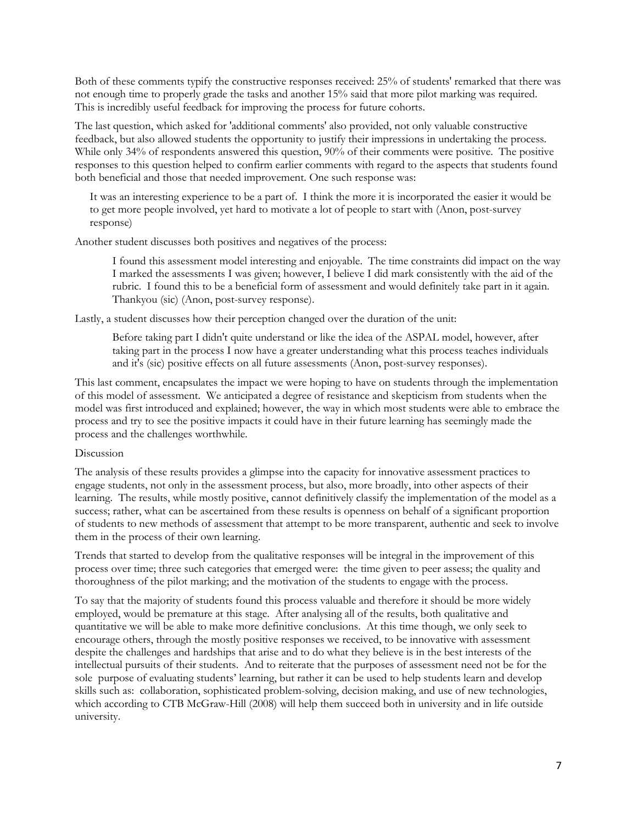Both of these comments typify the constructive responses received: 25% of students' remarked that there was not enough time to properly grade the tasks and another 15% said that more pilot marking was required. This is incredibly useful feedback for improving the process for future cohorts.

The last question, which asked for 'additional comments' also provided, not only valuable constructive feedback, but also allowed students the opportunity to justify their impressions in undertaking the process. While only 34% of respondents answered this question, 90% of their comments were positive. The positive responses to this question helped to confirm earlier comments with regard to the aspects that students found both beneficial and those that needed improvement. One such response was:

It was an interesting experience to be a part of. I think the more it is incorporated the easier it would be to get more people involved, yet hard to motivate a lot of people to start with (Anon, post-survey response)

Another student discusses both positives and negatives of the process:

I found this assessment model interesting and enjoyable. The time constraints did impact on the way I marked the assessments I was given; however, I believe I did mark consistently with the aid of the rubric. I found this to be a beneficial form of assessment and would definitely take part in it again. Thankyou (sic) (Anon, post-survey response).

Lastly, a student discusses how their perception changed over the duration of the unit:

Before taking part I didn't quite understand or like the idea of the ASPAL model, however, after taking part in the process I now have a greater understanding what this process teaches individuals and it's (sic) positive effects on all future assessments (Anon, post-survey responses).

This last comment, encapsulates the impact we were hoping to have on students through the implementation of this model of assessment. We anticipated a degree of resistance and skepticism from students when the model was first introduced and explained; however, the way in which most students were able to embrace the process and try to see the positive impacts it could have in their future learning has seemingly made the process and the challenges worthwhile.

# Discussion

The analysis of these results provides a glimpse into the capacity for innovative assessment practices to engage students, not only in the assessment process, but also, more broadly, into other aspects of their learning. The results, while mostly positive, cannot definitively classify the implementation of the model as a success; rather, what can be ascertained from these results is openness on behalf of a significant proportion of students to new methods of assessment that attempt to be more transparent, authentic and seek to involve them in the process of their own learning.

Trends that started to develop from the qualitative responses will be integral in the improvement of this process over time; three such categories that emerged were: the time given to peer assess; the quality and thoroughness of the pilot marking; and the motivation of the students to engage with the process.

To say that the majority of students found this process valuable and therefore it should be more widely employed, would be premature at this stage. After analysing all of the results, both qualitative and quantitative we will be able to make more definitive conclusions. At this time though, we only seek to encourage others, through the mostly positive responses we received, to be innovative with assessment despite the challenges and hardships that arise and to do what they believe is in the best interests of the intellectual pursuits of their students. And to reiterate that the purposes of assessment need not be for the sole purpose of evaluating students' learning, but rather it can be used to help students learn and develop skills such as: collaboration, sophisticated problem-solving, decision making, and use of new technologies, which according to CTB McGraw-Hill (2008) will help them succeed both in university and in life outside university.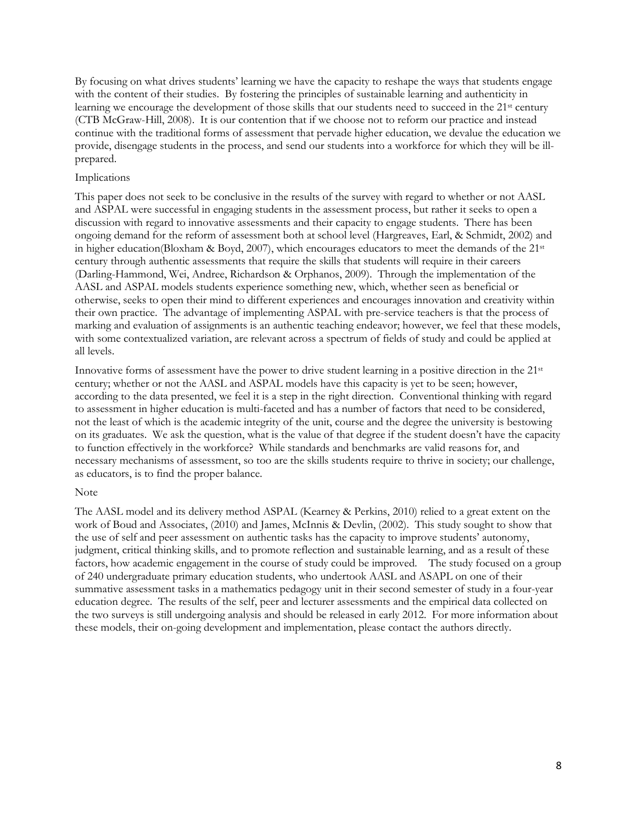By focusing on what drives students' learning we have the capacity to reshape the ways that students engage with the content of their studies. By fostering the principles of sustainable learning and authenticity in learning we encourage the development of those skills that our students need to succeed in the 21<sup>st</sup> century (CTB McGraw-Hill, 2008). It is our contention that if we choose not to reform our practice and instead continue with the traditional forms of assessment that pervade higher education, we devalue the education we provide, disengage students in the process, and send our students into a workforce for which they will be illprepared.

### Implications

This paper does not seek to be conclusive in the results of the survey with regard to whether or not AASL and ASPAL were successful in engaging students in the assessment process, but rather it seeks to open a discussion with regard to innovative assessments and their capacity to engage students. There has been ongoing demand for the reform of assessment both at school level (Hargreaves, Earl, & Schmidt, 2002) and in higher education(Bloxham & Boyd, 2007), which encourages educators to meet the demands of the 21st century through authentic assessments that require the skills that students will require in their careers (Darling-Hammond, Wei, Andree, Richardson & Orphanos, 2009). Through the implementation of the AASL and ASPAL models students experience something new, which, whether seen as beneficial or otherwise, seeks to open their mind to different experiences and encourages innovation and creativity within their own practice. The advantage of implementing ASPAL with pre-service teachers is that the process of marking and evaluation of assignments is an authentic teaching endeavor; however, we feel that these models, with some contextualized variation, are relevant across a spectrum of fields of study and could be applied at all levels.

Innovative forms of assessment have the power to drive student learning in a positive direction in the 21st century; whether or not the AASL and ASPAL models have this capacity is yet to be seen; however, according to the data presented, we feel it is a step in the right direction. Conventional thinking with regard to assessment in higher education is multi-faceted and has a number of factors that need to be considered, not the least of which is the academic integrity of the unit, course and the degree the university is bestowing on its graduates. We ask the question, what is the value of that degree if the student doesn't have the capacity to function effectively in the workforce? While standards and benchmarks are valid reasons for, and necessary mechanisms of assessment, so too are the skills students require to thrive in society; our challenge, as educators, is to find the proper balance.

#### Note

The AASL model and its delivery method ASPAL (Kearney & Perkins, 2010) relied to a great extent on the work of Boud and Associates, (2010) and James, McInnis & Devlin, (2002). This study sought to show that the use of self and peer assessment on authentic tasks has the capacity to improve students' autonomy, judgment, critical thinking skills, and to promote reflection and sustainable learning, and as a result of these factors, how academic engagement in the course of study could be improved. The study focused on a group of 240 undergraduate primary education students, who undertook AASL and ASAPL on one of their summative assessment tasks in a mathematics pedagogy unit in their second semester of study in a four-year education degree. The results of the self, peer and lecturer assessments and the empirical data collected on the two surveys is still undergoing analysis and should be released in early 2012. For more information about these models, their on-going development and implementation, please contact the authors directly.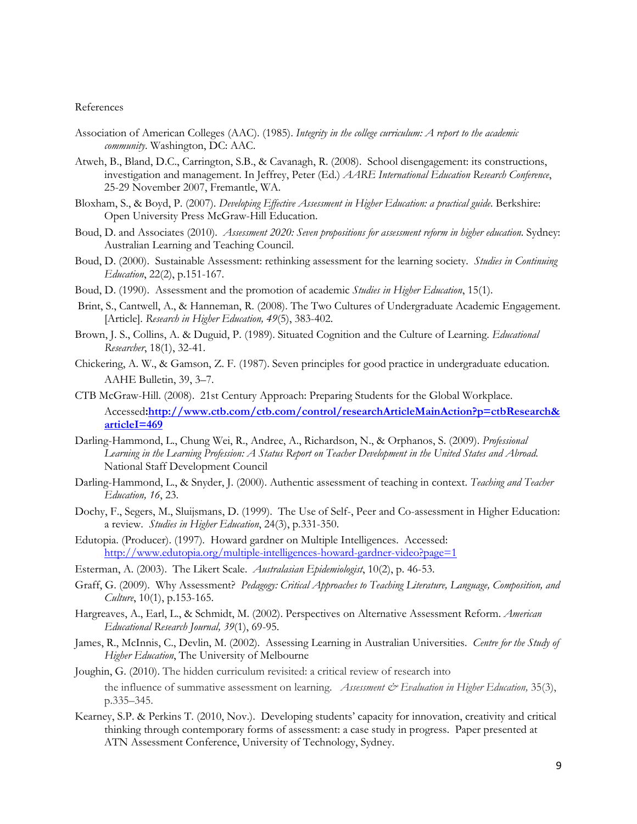#### References

- Association of American Colleges (AAC). (1985). Integrity in the college curriculum: A report to the academic community. Washington, DC: AAC.
- Atweh, B., Bland, D.C., Carrington, S.B., & Cavanagh, R. (2008). School disengagement: its constructions, investigation and management. In Jeffrey, Peter (Ed.) AARE International Education Research Conference, 25-29 November 2007, Fremantle, WA.
- Bloxham, S., & Boyd, P. (2007). Developing Effective Assessment in Higher Education: a practical guide. Berkshire: Open University Press McGraw-Hill Education.
- Boud, D. and Associates (2010). Assessment 2020: Seven propositions for assessment reform in higher education. Sydney: Australian Learning and Teaching Council.
- Boud, D. (2000). Sustainable Assessment: rethinking assessment for the learning society. *Studies in Continuing* Education, 22(2), p.151-167.
- Boud, D. (1990). Assessment and the promotion of academic *Studies in Higher Education*, 15(1).
- Brint, S., Cantwell, A., & Hanneman, R. (2008). The Two Cultures of Undergraduate Academic Engagement. [Article]. Research in Higher Education, 49(5), 383-402.
- Brown, J. S., Collins, A. & Duguid, P. (1989). Situated Cognition and the Culture of Learning. *Educational* Researcher, 18(1), 32-41.
- Chickering, A. W., & Gamson, Z. F. (1987). Seven principles for good practice in undergraduate education. AAHE Bulletin, 39, 3–7.
- CTB McGraw-Hill. (2008). 21st Century Approach: Preparing Students for the Global Workplace. Accessed:http://www.ctb.com/ctb.com/control/researchArticleMainAction?p=ctbResearch& articleI=469
- Darling-Hammond, L., Chung Wei, R., Andree, A., Richardson, N., & Orphanos, S. (2009). Professional Learning in the Learning Profession: A Status Report on Teacher Development in the United States and Abroad. National Staff Development Council
- Darling-Hammond, L., & Snyder, J. (2000). Authentic assessment of teaching in context. Teaching and Teacher Education, 16, 23.
- Dochy, F., Segers, M., Sluijsmans, D. (1999). The Use of Self-, Peer and Co-assessment in Higher Education: a review. Studies in Higher Education, 24(3), p.331-350.
- Edutopia. (Producer). (1997). Howard gardner on Multiple Intelligences. Accessed: http://www.edutopia.org/multiple-intelligences-howard-gardner-video?page=1
- Esterman, A. (2003). The Likert Scale. Australasian Epidemiologist, 10(2), p. 46-53.
- Graff, G. (2009). Why Assessment? Pedagogy: Critical Approaches to Teaching Literature, Language, Composition, and Culture, 10(1), p.153-165.
- Hargreaves, A., Earl, L., & Schmidt, M. (2002). Perspectives on Alternative Assessment Reform. American Educational Research Journal, 39(1), 69-95.
- James, R., McInnis, C., Devlin, M. (2002). Assessing Learning in Australian Universities. Centre for the Study of Higher Education, The University of Melbourne
- Joughin, G. (2010). The hidden curriculum revisited: a critical review of research into the influence of summative assessment on learning. Assessment  $\mathcal{O}$  Evaluation in Higher Education, 35(3), p.335–345.
- Kearney, S.P. & Perkins T. (2010, Nov.). Developing students' capacity for innovation, creativity and critical thinking through contemporary forms of assessment: a case study in progress. Paper presented at ATN Assessment Conference, University of Technology, Sydney.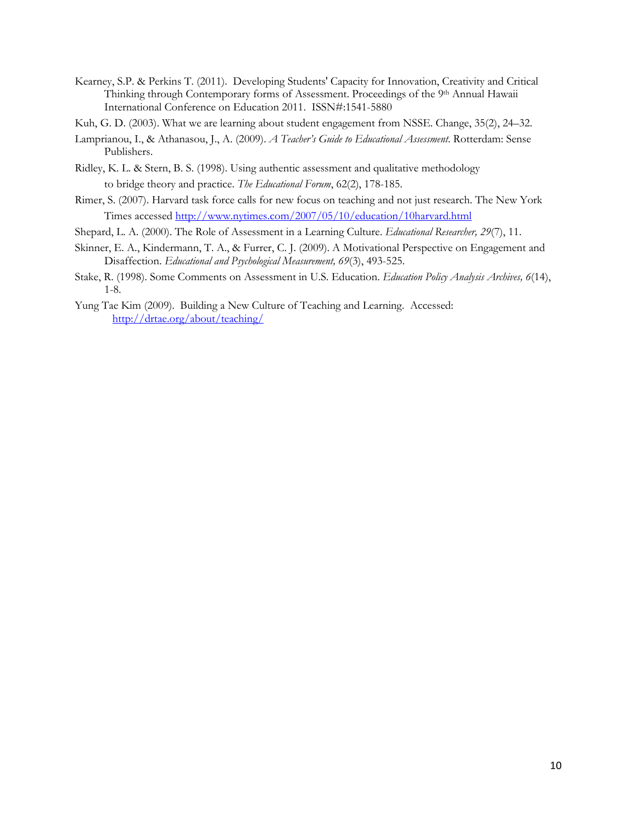- Kearney, S.P. & Perkins T. (2011). Developing Students' Capacity for Innovation, Creativity and Critical Thinking through Contemporary forms of Assessment. Proceedings of the 9th Annual Hawaii International Conference on Education 2011. ISSN#:1541-5880
- Kuh, G. D. (2003). What we are learning about student engagement from NSSE. Change, 35(2), 24–32.
- Lamprianou, I., & Athanasou, J., A. (2009). A Teacher's Guide to Educational Assessment. Rotterdam: Sense Publishers.
- Ridley, K. L. & Stern, B. S. (1998). Using authentic assessment and qualitative methodology to bridge theory and practice. The Educational Forum, 62(2), 178-185.
- Rimer, S. (2007). Harvard task force calls for new focus on teaching and not just research. The New York Times accessed http://www.nytimes.com/2007/05/10/education/10harvard.html
- Shepard, L. A. (2000). The Role of Assessment in a Learning Culture. Educational Researcher, 29(7), 11.
- Skinner, E. A., Kindermann, T. A., & Furrer, C. J. (2009). A Motivational Perspective on Engagement and Disaffection. Educational and Psychological Measurement, 69(3), 493-525.
- Stake, R. (1998). Some Comments on Assessment in U.S. Education. Education Policy Analysis Archives, 6(14), 1-8.
- Yung Tae Kim (2009). Building a New Culture of Teaching and Learning. Accessed: http://drtae.org/about/teaching/